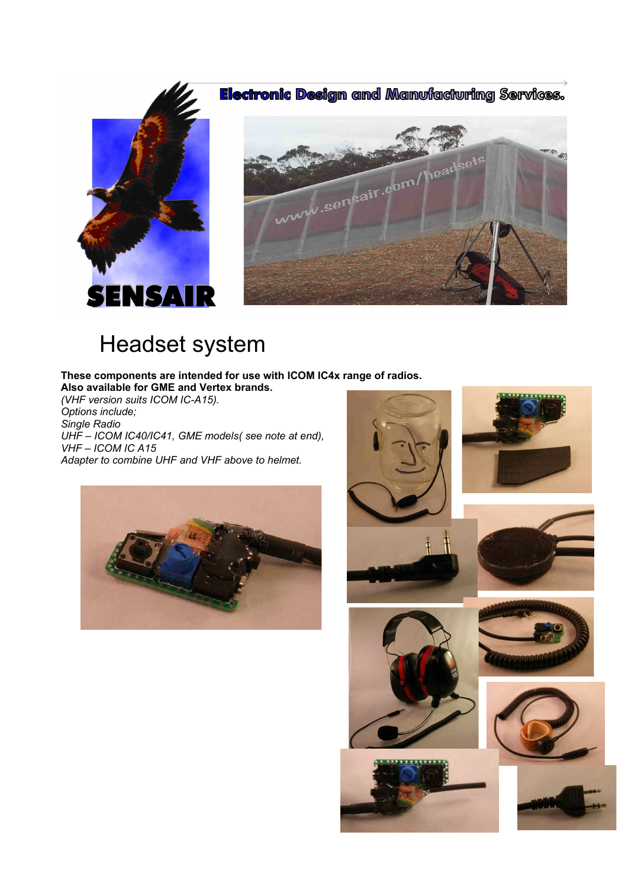





# Headset system

#### **These components are intended for use with ICOM IC4x range of radios. Also available for GME and Vertex brands.**

*(VHF version suits ICOM IC-A15). Options include; Single Radio*

*UHF – ICOM IC40/IC41, GME models( see note at end), VHF – ICOM IC A15 Adapter to combine UHF and VHF above to helmet.*



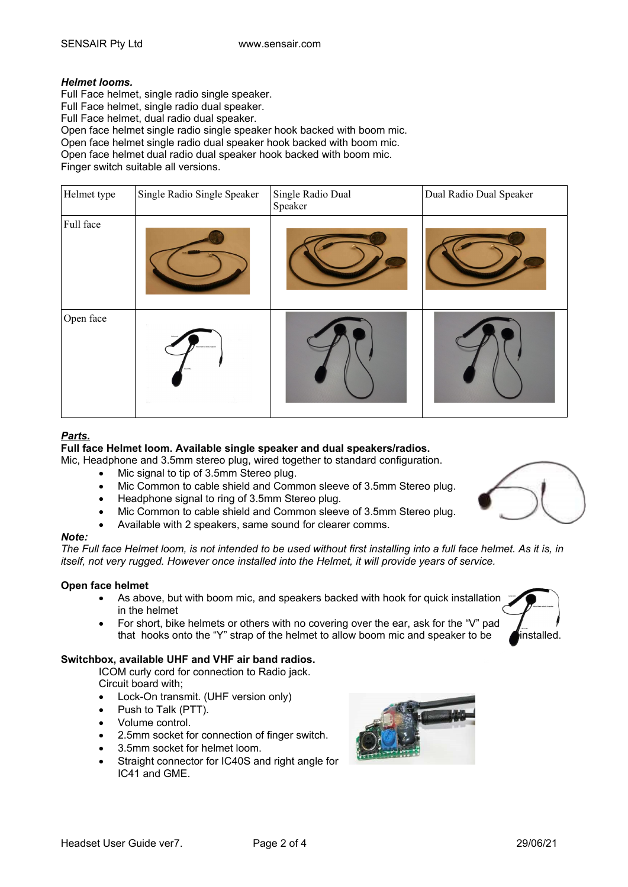### *Helmet looms.*

Full Face helmet, single radio single speaker. Full Face helmet, single radio dual speaker. Full Face helmet, dual radio dual speaker. Open face helmet single radio single speaker hook backed with boom mic. Open face helmet single radio dual speaker hook backed with boom mic. Open face helmet dual radio dual speaker hook backed with boom mic. Finger switch suitable all versions.

| Helmet type | Single Radio Single Speaker | Single Radio Dual<br>Speaker | Dual Radio Dual Speaker |
|-------------|-----------------------------|------------------------------|-------------------------|
| Full face   |                             |                              |                         |
| Open face   |                             |                              |                         |

# *Parts.*

**Full face Helmet loom. Available single speaker and dual speakers/radios.**

Mic, Headphone and 3.5mm stereo plug, wired together to standard configuration.

- Mic signal to tip of 3.5mm Stereo plug.
- Mic Common to cable shield and Common sleeve of 3.5mm Stereo plug.
- Headphone signal to ring of 3.5mm Stereo plug.
- Mic Common to cable shield and Common sleeve of 3.5mm Stereo plug.
- Available with 2 speakers, same sound for clearer comms.

#### *Note:*

*The Full face Helmet loom, is not intended to be used without first installing into a full face helmet. As it is, in itself, not very rugged. However once installed into the Helmet, it will provide years of service.*

#### **Open face helmet**

- As above, but with boom mic, and speakers backed with hook for quick installation in the helmet
- For short, bike helmets or others with no covering over the ear, ask for the "V" pad that hooks onto the "Y" strap of the helmet to allow boom mic and speaker to be **installed**.

#### **Switchbox, available UHF and VHF air band radios.**

ICOM curly cord for connection to Radio jack. Circuit board with;

- Lock-On transmit. (UHF version only)
- Push to Talk (PTT).
- Volume control.
- 2.5mm socket for connection of finger switch.
- 3.5mm socket for helmet loom.
- Straight connector for IC40S and right angle for IC41 and GME.





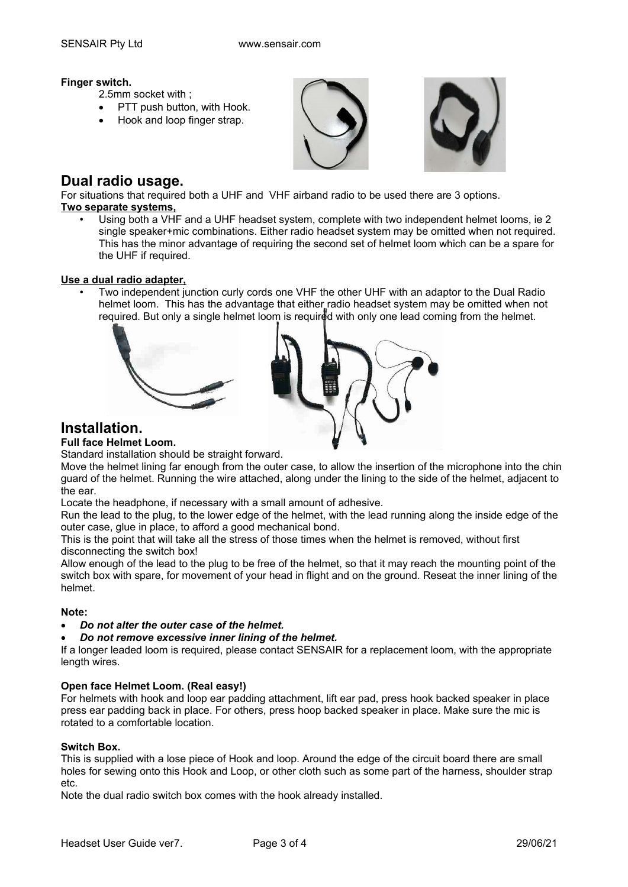### **Finger switch.**

- 2.5mm socket with ;
- PTT push button, with Hook.
- Hook and loop finger strap.





# **Dual radio usage.**

For situations that required both a UHF and VHF airband radio to be used there are 3 options. **Two separate systems,**

• Using both a VHF and a UHF headset system, complete with two independent helmet looms, ie 2 single speaker+mic combinations. Either radio headset system may be omitted when not required. This has the minor advantage of requiring the second set of helmet loom which can be a spare for the UHF if required.

### **Use a dual radio adapter,**

• Two independent junction curly cords one VHF the other UHF with an adaptor to the Dual Radio helmet loom. This has the advantage that either radio headset system may be omitted when not required. But only a single helmet loom is required with only one lead coming from the helmet.



# **Installation.**

# **Full face Helmet Loom.**

Standard installation should be straight forward.

Move the helmet lining far enough from the outer case, to allow the insertion of the microphone into the chin guard of the helmet. Running the wire attached, along under the lining to the side of the helmet, adjacent to the ear.

Locate the headphone, if necessary with a small amount of adhesive.

Run the lead to the plug, to the lower edge of the helmet, with the lead running along the inside edge of the outer case, glue in place, to afford a good mechanical bond.

This is the point that will take all the stress of those times when the helmet is removed, without first disconnecting the switch box!

Allow enough of the lead to the plug to be free of the helmet, so that it may reach the mounting point of the switch box with spare, for movement of your head in flight and on the ground. Reseat the inner lining of the helmet.

### **Note:**

*Do not alter the outer case of the helmet.*

*Do not remove excessive inner lining of the helmet.*

If a longer leaded loom is required, please contact SENSAIR for a replacement loom, with the appropriate length wires.

# **Open face Helmet Loom. (Real easy!)**

For helmets with hook and loop ear padding attachment, lift ear pad, press hook backed speaker in place press ear padding back in place. For others, press hoop backed speaker in place. Make sure the mic is rotated to a comfortable location.

### **Switch Box.**

This is supplied with a lose piece of Hook and loop. Around the edge of the circuit board there are small holes for sewing onto this Hook and Loop, or other cloth such as some part of the harness, shoulder strap etc.

Note the dual radio switch box comes with the hook already installed.